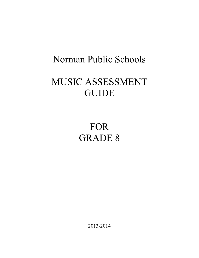# Norman Public Schools

# MUSIC ASSESSMENT **GUIDE**

# FOR GRADE 8

2013-2014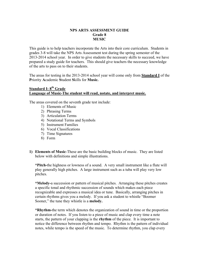### **NPS ARTS ASSESSMENT GUIDE Grade 8 MUSIC**

This guide is to help teachers incorporate the Arts into their core curriculum. Students in grades 3-8 will take the NPS Arts Assessment test during the spring semester of the 2013-2014 school year. In order to give students the necessary skills to succeed, we have prepared a study guide for teachers. This should give teachers the necessary knowledge of the arts to pass on to their students.

The areas for testing in the 2013-2014 school year will come only from **Standard I** of the **P**riority **A**cademic **S**tudent **S**kills for **Music.**

# **Standard I: 8th Grade Language of Music-The student will read, notate, and interpret music.**

The areas covered on the seventh grade test include:

- 1) Elements of Music
- 2) Phrasing Terms
- 3) Articulation Terms
- 4) Notational Terms and Symbols
- 5) Instrument Families
- 6) Vocal Classifications
- 7) Time Signatures
- 8) Form
- **1) Elements of Music**-These are the basic building blocks of music. They are listed below with definitions and simple illustrations.

**\*Pitch-**the highness or lowness of a sound. A very small instrument like a flute will play generally high pitches. A large instrument such as a tuba will play very low pitches.

**\*Melody-**a succession or pattern of musical pitches. Arranging these pitches creates a specific tonal and rhythmic succession of sounds which makes each piece recognizable and expresses a musical idea or tune. Basically, arranging pitches in certain rhythms gives you a melody. If you ask a student to whistle "Boomer Sooner," the tune they whistle is a **melody.**

**\*Rhythm-**the term which denotes the organization of sound in time or the proportion or duration of notes. If you listen to a piece of music and clap every time a note starts, the pattern of your clapping is the **rhythm** of the piece. It is important to notice the difference between rhythm and tempo. Rhythm is the pattern of individual notes, while tempo is the speed of the music. To determine rhythm, you clap every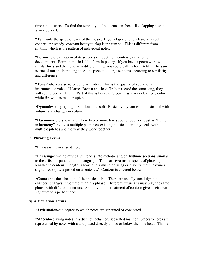time a note starts. To find the tempo, you find a constant beat, like clapping along at a rock concert.

**\*Tempo-**Is the speed or pace of the music. If you clap along to a band at a rock concert, the steady, constant beat you clap is the **tempo.** This is different from rhythm, which is the pattern of individual notes.

**\*Form-**the organization of its sections of repetition, contrast, variation or development. Form in music is like form in poetry. If you have a poem with two similar lines and then one very different line, you could call its form AAB. The same is true of music. Form organizes the piece into large sections according to similarity and difference.

**\*Tone Color-**is also referred to as timbre. This is the quality of sound of an instrument or voice. If James Brown and Josh Groban record the same song, they will sound very different. Part of this is because Groban has a very clear tone color, while Brown's is much raspier.

**\*Dynamics-**varying degrees of loud and soft. Basically, dynamics in music deal with volume and changes in volume.

**\*Harmony-**refers to music where two or more tones sound together. Just as "living in harmony" involves multiple people co-existing, musical harmony deals with multiple pitches and the way they work together.

#### 2) **Phrasing Terms**

**\*Phrase-**a musical sentence.

**\*Phrasing-**dividing musical sentences into melodic and/or rhythmic sections, similar to the effect of punctuation in language. There are two main aspects of phrasinglength and contour. Length is how long a musician sings or plays without leaving a slight break (like a period on a sentence.) Contour is covered below.

**\*Contour-**is the direction of the musical line. There are usually small dynamic changes (changes in volume) within a phrase. Different musicians may play the same phrase with different contours. An individual's treatment of contour gives their own signature to a performance.

#### 3) **Articulation Terms**

**\*Articulation-**the degree to which notes are separated or connected.

**\*Staccato-**playing notes in a distinct, detached, separated manner. Staccato notes are represented by notes with a dot placed directly above or below the note head. This is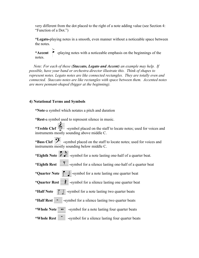very different from the dot placed to the right of a note adding value (see Section 4: "Function of a Dot.")

**\*Legato-**playing notes in a smooth, even manner without a noticeable space between the notes.

\***Accent** • playing notes with a noticeable emphasis on the beginnings of the notes.

*Note: For each of these (Staccato, Legato and Accent) an example may help. If possible, have your band or orchestra director illustrate this. Think of shapes to represent notes. Legato notes are like connected rectangles. They are totally even and connected. Staccato notes are like rectangles with space between them. Accented notes are more pennant-shaped (bigger at the beginning).* 

# **4) Notational Terms and Symbols**

**\*Note**-a symbol which notates a pitch and duration

**\*Rest-**a symbol used to represent silence in music. \***Treble Clef**  $\frac{100-1}{2}$  -symbol placed on the staff to locate notes; used for voices and instruments mostly sounding above middle C. \***Bass Clef**  $\overrightarrow{2}$  -symbol placed on the staff to locate notes; used for voices and instruments mostly sounding below middle C. \*Eighth Note  $\overline{+}$  -symbol for a note lasting one-half of a quarter beat. \***Eighth Rest**  $\frac{Q}{Z}$ -symbol for a silence lasting one-half of a quarter beat \***Quarter Note**  $\frac{1}{\sqrt{2}}$ -symbol for a note lasting one quarter beat \***Quarter Rest**  $\overline{\mathbf{F}}$  -symbol for a silence lasting one quarter beat \***Half Note**  $\frac{2}{\sqrt{2}}$  -symbol for a note lasting two quarter beats \***Half Rest**  $\equiv$  -symbol for a silence lasting two quarter beats \*Whole Note  $\frac{1}{\sqrt{2\pi}}$  -symbol for a note lasting four quarter beats \*Whole Rest  $\equiv$  -symbol for a silence lasting four quarter beats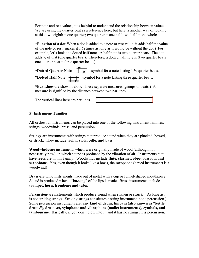For note and rest values, it is helpful to understand the relationship between values. We are using the quarter beat as a reference here, but here is another way of looking at this: two eighth = one quarter; two quarter = one half; two half = one whole

**\*Function of a dot-**When a dot is added to a note or rest value, it adds half the value of the note or rest (makes it  $1\frac{1}{2}$  times as long as it would be without the dot.) For example, let's look at a dotted half note. A half note is two quarter beats. The dot adds  $\frac{1}{2}$  of that (one quarter beat). Therefore, a dotted half note is (two quarter beats + one quarter beat  $=$  three quarter beats.)

\***Dotted Quarter Note**  $\frac{1}{\sqrt{1-\frac{1}{x}}}\$ -symbol for a note lasting 1 <sup>1</sup>/<sub>2</sub> quarter beats.

\***Dotted Half Note**  $\frac{2!}{\sigma}$  -symbol for a note lasting three quarter beats.

**\*Bar Lines-**are shown below. These separate measures (groups or beats.) A measure is signified by the distance between two bar lines.

The vertical lines here are bar lines

| $\overline{\phantom{iiiiiiiiiiiii}}$ |  |
|--------------------------------------|--|
|                                      |  |
| ——                                   |  |
|                                      |  |
|                                      |  |

# **5) Instrument Families**

All orchestral instruments can be placed into one of the following instrument families: strings, woodwinds, brass, and percussion.

**Strings-**are instruments with strings that produce sound when they are plucked, bowed, or struck. They include **violin, viola, cello, and bass.**

**Woodwinds-**are instruments which were originally made of wood (although not necessarily now), in which sound is produced by the vibration of air. Instruments that have reeds are in this family. Woodwinds include **flute, clarinet, oboe, bassoon, and saxophone.** Yes, even though it looks like a brass, the saxophone (a reed instrument) is a woodwind!

**Brass**-are wind instruments made out of metal with a cup or funnel-shaped mouthpiece. Sound is produced when a "buzzing" of the lips is made. Brass instruments include **trumpet, horn, trombone and tuba.**

**Percussion-**are instruments which produce sound when shaken or struck. (As long as it is not striking strings. Striking strings constitutes a string instrument, not a percussion.) Some percussion instruments are: **any kind of drum, timpani (also known as "kettle drums"), drum set, xylophone and vibraphone (mallet instruments), cymbals, and tambourine.** Basically, if you don't blow into it, and it has no strings, it is percussion.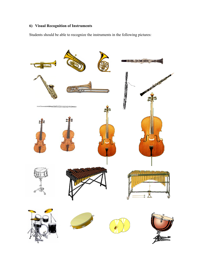# **6) Visual Recognition of Instruments**

Students should be able to recognize the instruments in the following pictures:

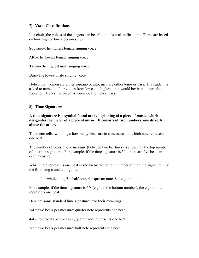# **7) Vocal Classifications**

In a choir, the voices of the singers can be split into four classifications. These are based on how high or low a person sings.

**Soprano-**The highest female singing voice

**Alto-**The lowest female singing voice

**Tenor-**The highest male singing voice

**Bass-**The lowest male singing voice

Notice that women are either soprano or alto; men are either tenor or bass. If a student is asked to name the four voices from lowest to highest, that would be: bass, tenor, alto, soprano. Highest to lowest is soprano, alto, tenor, bass.

### **8) Time Signatures**

**A time signature is a symbol found at the beginning of a piece of music, which designates the meter of a piece of music. It consists of two numbers, one directly above the other.**

The meter tells two things: how many beats are in a measure and which note represents one beat.

The number of beats in one measure (between two bar lines) is shown by the top number of the time signature. For example, if the time signature is 5/4, there are five beats in each measure.

Which note represents one beat is shown by the bottom number of the time signature. Use the following translation guide:

1 = whole note, 2 = half note, 4 = quarter note,  $8 =$  eighth note

For example, if the time signature is 6/8 (eight is the bottom number), the eighth note represents one beat.

Here are some standard time signatures and their meanings:

 $2/4$  = two beats per measure; quarter note represents one beat

 $4/4$  = four beats per measure; quarter note represents one beat

 $2/2$  = two beats per measure; half note represents one beat